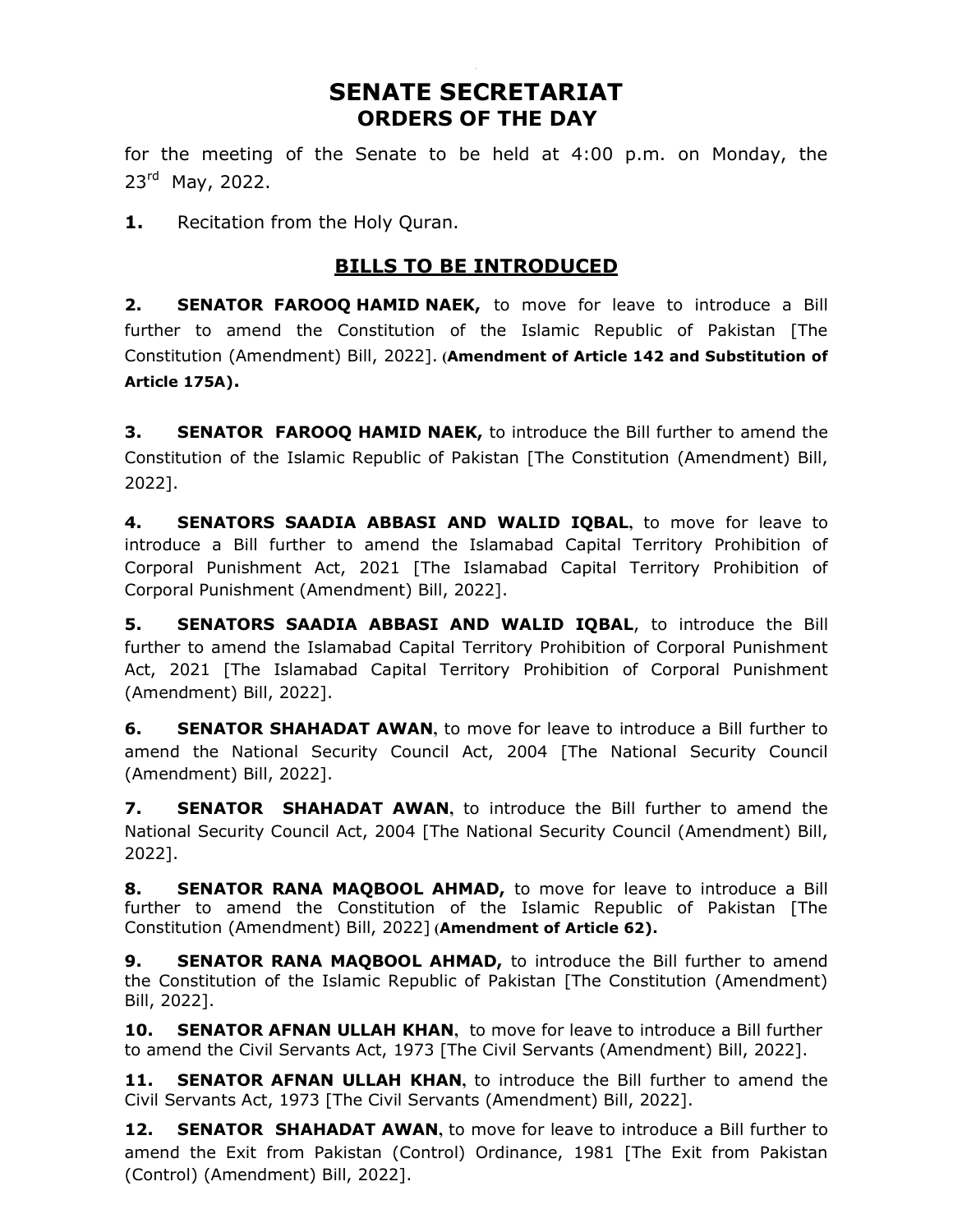# SENATE SECRETARIAT ORDERS OF THE DAY

for the meeting of the Senate to be held at 4:00 p.m. on Monday, the 23<sup>rd</sup> May, 2022.

1. Recitation from the Holy Quran.

## BILLS TO BE INTRODUCED

**2. SENATOR FAROOQ HAMID NAEK,** to move for leave to introduce a Bill further to amend the Constitution of the Islamic Republic of Pakistan [The Constitution (Amendment) Bill, 2022]. (Amendment of Article 142 and Substitution of Article 175A).

**3. SENATOR FAROOO HAMID NAEK,** to introduce the Bill further to amend the Constitution of the Islamic Republic of Pakistan [The Constitution (Amendment) Bill, 2022].

4. SENATORS SAADIA ABBASI AND WALID IQBAL, to move for leave to introduce a Bill further to amend the Islamabad Capital Territory Prohibition of Corporal Punishment Act, 2021 [The Islamabad Capital Territory Prohibition of Corporal Punishment (Amendment) Bill, 2022].

5. SENATORS SAADIA ABBASI AND WALID IQBAL, to introduce the Bill further to amend the Islamabad Capital Territory Prohibition of Corporal Punishment Act, 2021 [The Islamabad Capital Territory Prohibition of Corporal Punishment (Amendment) Bill, 2022].

**6.** SENATOR SHAHADAT AWAN, to move for leave to introduce a Bill further to amend the National Security Council Act, 2004 [The National Security Council (Amendment) Bill, 2022].

**7.** SENATOR SHAHADAT AWAN, to introduce the Bill further to amend the National Security Council Act, 2004 [The National Security Council (Amendment) Bill, 2022].

8. SENATOR RANA MAQBOOL AHMAD, to move for leave to introduce a Bill further to amend the Constitution of the Islamic Republic of Pakistan [The Constitution (Amendment) Bill, 2022] (Amendment of Article 62).

9. SENATOR RANA MAQBOOL AHMAD, to introduce the Bill further to amend the Constitution of the Islamic Republic of Pakistan [The Constitution (Amendment) Bill, 2022].

**10. SENATOR AFNAN ULLAH KHAN, to move for leave to introduce a Bill further** to amend the Civil Servants Act, 1973 [The Civil Servants (Amendment) Bill, 2022].

**11. SENATOR AFNAN ULLAH KHAN,** to introduce the Bill further to amend the Civil Servants Act, 1973 [The Civil Servants (Amendment) Bill, 2022].

12. SENATOR SHAHADAT AWAN, to move for leave to introduce a Bill further to amend the Exit from Pakistan (Control) Ordinance, 1981 [The Exit from Pakistan (Control) (Amendment) Bill, 2022].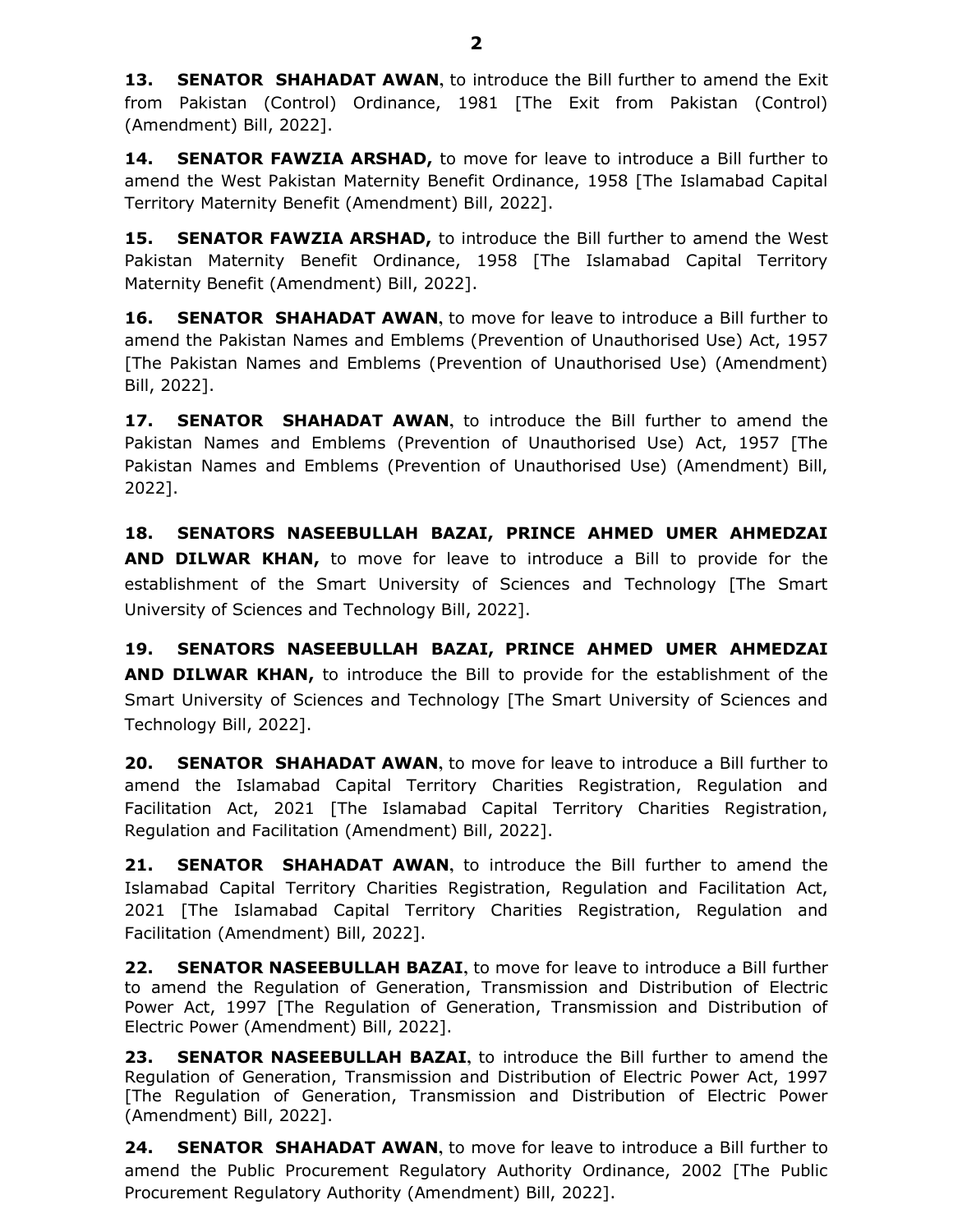13. SENATOR SHAHADAT AWAN, to introduce the Bill further to amend the Exit from Pakistan (Control) Ordinance, 1981 [The Exit from Pakistan (Control) (Amendment) Bill, 2022].

14. SENATOR FAWZIA ARSHAD, to move for leave to introduce a Bill further to amend the West Pakistan Maternity Benefit Ordinance, 1958 [The Islamabad Capital Territory Maternity Benefit (Amendment) Bill, 2022].

**15. SENATOR FAWZIA ARSHAD,** to introduce the Bill further to amend the West Pakistan Maternity Benefit Ordinance, 1958 [The Islamabad Capital Territory Maternity Benefit (Amendment) Bill, 2022].

16. SENATOR SHAHADAT AWAN, to move for leave to introduce a Bill further to amend the Pakistan Names and Emblems (Prevention of Unauthorised Use) Act, 1957 [The Pakistan Names and Emblems (Prevention of Unauthorised Use) (Amendment) Bill, 2022].

17. SENATOR SHAHADAT AWAN, to introduce the Bill further to amend the Pakistan Names and Emblems (Prevention of Unauthorised Use) Act, 1957 [The Pakistan Names and Emblems (Prevention of Unauthorised Use) (Amendment) Bill, 2022].

18. SENATORS NASEEBULLAH BAZAI, PRINCE AHMED UMER AHMEDZAI **AND DILWAR KHAN,** to move for leave to introduce a Bill to provide for the establishment of the Smart University of Sciences and Technology [The Smart University of Sciences and Technology Bill, 2022].

19. SENATORS NASEEBULLAH BAZAI, PRINCE AHMED UMER AHMEDZAI AND DILWAR KHAN, to introduce the Bill to provide for the establishment of the Smart University of Sciences and Technology [The Smart University of Sciences and Technology Bill, 2022].

20. SENATOR SHAHADAT AWAN, to move for leave to introduce a Bill further to amend the Islamabad Capital Territory Charities Registration, Regulation and Facilitation Act, 2021 [The Islamabad Capital Territory Charities Registration, Regulation and Facilitation (Amendment) Bill, 2022].

21. **SENATOR SHAHADAT AWAN,** to introduce the Bill further to amend the Islamabad Capital Territory Charities Registration, Regulation and Facilitation Act, 2021 [The Islamabad Capital Territory Charities Registration, Regulation and Facilitation (Amendment) Bill, 2022].

22. SENATOR NASEEBULLAH BAZAI, to move for leave to introduce a Bill further to amend the Regulation of Generation, Transmission and Distribution of Electric Power Act, 1997 [The Regulation of Generation, Transmission and Distribution of Electric Power (Amendment) Bill, 2022].

23. SENATOR NASEEBULLAH BAZAI, to introduce the Bill further to amend the Regulation of Generation, Transmission and Distribution of Electric Power Act, 1997 [The Regulation of Generation, Transmission and Distribution of Electric Power (Amendment) Bill, 2022].

24. SENATOR SHAHADAT AWAN, to move for leave to introduce a Bill further to amend the Public Procurement Regulatory Authority Ordinance, 2002 [The Public Procurement Regulatory Authority (Amendment) Bill, 2022].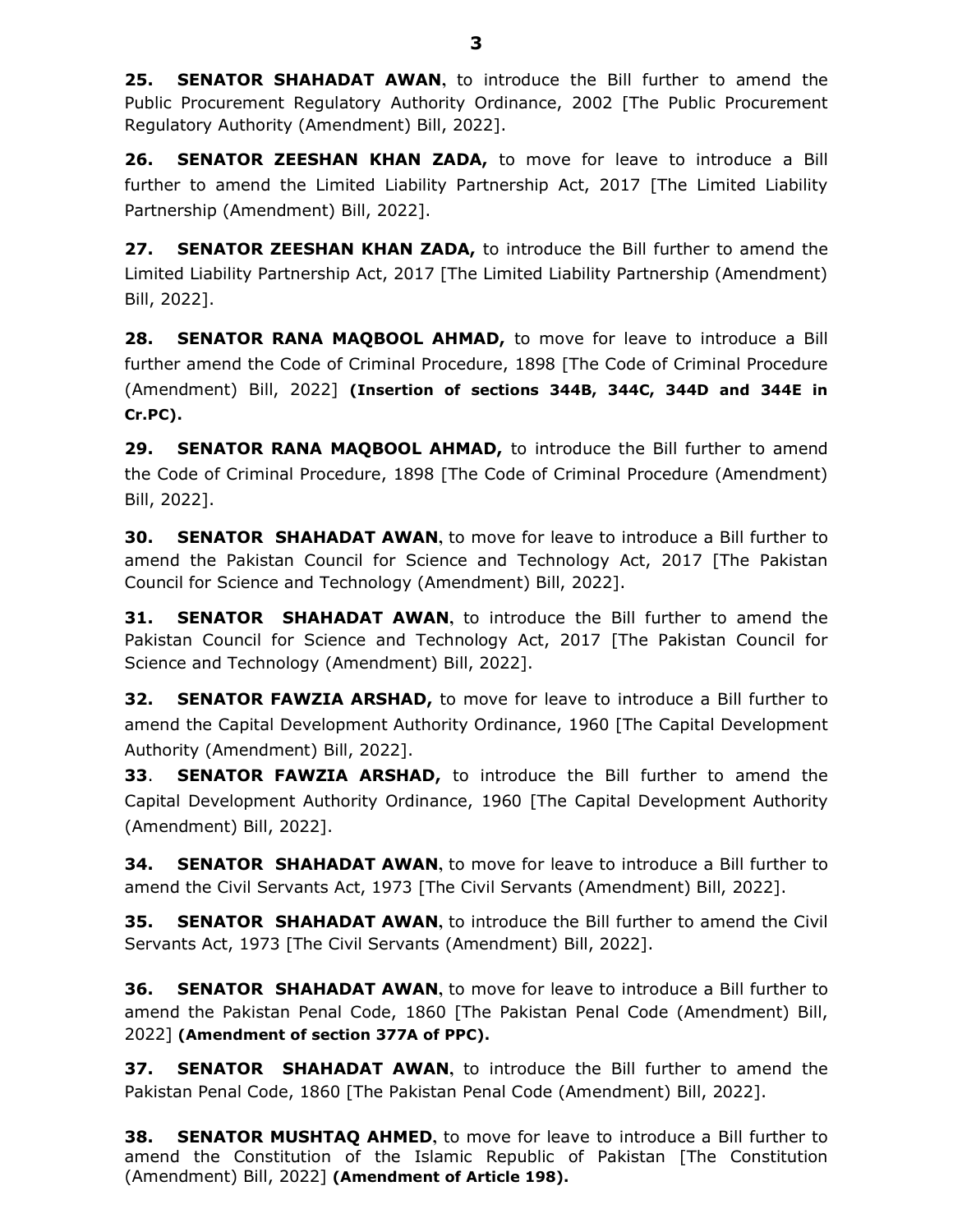25. SENATOR SHAHADAT AWAN, to introduce the Bill further to amend the Public Procurement Regulatory Authority Ordinance, 2002 [The Public Procurement Regulatory Authority (Amendment) Bill, 2022].

26. SENATOR ZEESHAN KHAN ZADA, to move for leave to introduce a Bill further to amend the Limited Liability Partnership Act, 2017 [The Limited Liability Partnership (Amendment) Bill, 2022].

27. SENATOR ZEESHAN KHAN ZADA, to introduce the Bill further to amend the Limited Liability Partnership Act, 2017 [The Limited Liability Partnership (Amendment) Bill, 2022].

28. SENATOR RANA MAQBOOL AHMAD, to move for leave to introduce a Bill further amend the Code of Criminal Procedure, 1898 [The Code of Criminal Procedure (Amendment) Bill, 2022] (Insertion of sections 344B, 344C, 344D and 344E in Cr.PC).

29. SENATOR RANA MAQBOOL AHMAD, to introduce the Bill further to amend the Code of Criminal Procedure, 1898 [The Code of Criminal Procedure (Amendment) Bill, 2022].

**30. SENATOR SHAHADAT AWAN, to move for leave to introduce a Bill further to** amend the Pakistan Council for Science and Technology Act, 2017 [The Pakistan Council for Science and Technology (Amendment) Bill, 2022].

**31. SENATOR SHAHADAT AWAN, to introduce the Bill further to amend the** Pakistan Council for Science and Technology Act, 2017 [The Pakistan Council for Science and Technology (Amendment) Bill, 2022].

**32. SENATOR FAWZIA ARSHAD,** to move for leave to introduce a Bill further to amend the Capital Development Authority Ordinance, 1960 [The Capital Development Authority (Amendment) Bill, 2022].

**33. SENATOR FAWZIA ARSHAD,** to introduce the Bill further to amend the Capital Development Authority Ordinance, 1960 [The Capital Development Authority (Amendment) Bill, 2022].

**34. SENATOR SHAHADAT AWAN, to move for leave to introduce a Bill further to** amend the Civil Servants Act, 1973 [The Civil Servants (Amendment) Bill, 2022].

**35. SENATOR SHAHADAT AWAN, to introduce the Bill further to amend the Civil** Servants Act, 1973 [The Civil Servants (Amendment) Bill, 2022].

**36. SENATOR SHAHADAT AWAN, to move for leave to introduce a Bill further to** amend the Pakistan Penal Code, 1860 [The Pakistan Penal Code (Amendment) Bill, 2022] (Amendment of section 377A of PPC).

37. SENATOR SHAHADAT AWAN, to introduce the Bill further to amend the Pakistan Penal Code, 1860 [The Pakistan Penal Code (Amendment) Bill, 2022].

**38. SENATOR MUSHTAQ AHMED,** to move for leave to introduce a Bill further to amend the Constitution of the Islamic Republic of Pakistan [The Constitution (Amendment) Bill, 2022] (Amendment of Article 198).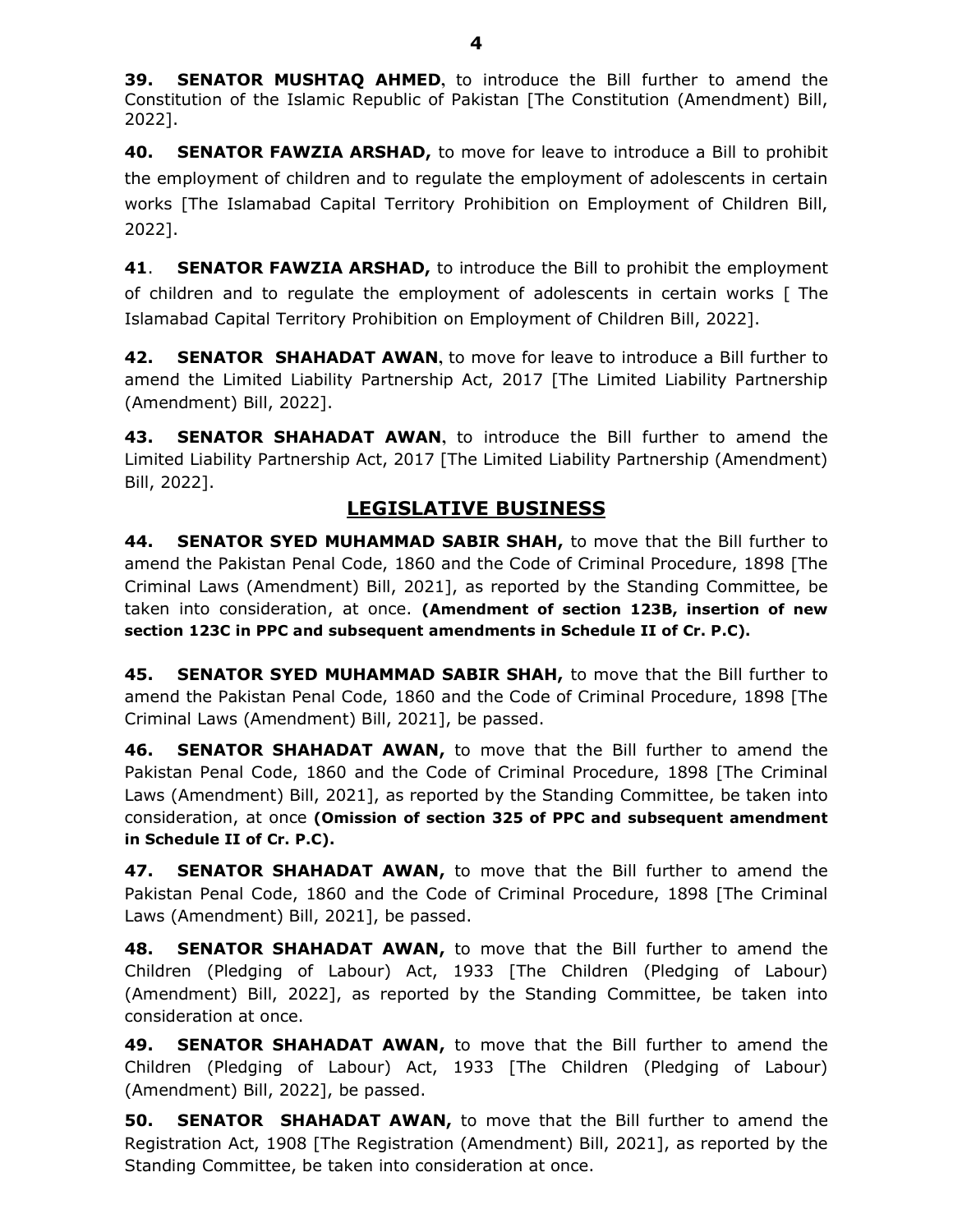**39. SENATOR MUSHTAQ AHMED,** to introduce the Bill further to amend the Constitution of the Islamic Republic of Pakistan [The Constitution (Amendment) Bill, 2022].

40. SENATOR FAWZIA ARSHAD, to move for leave to introduce a Bill to prohibit the employment of children and to regulate the employment of adolescents in certain works [The Islamabad Capital Territory Prohibition on Employment of Children Bill, 2022].

41. SENATOR FAWZIA ARSHAD, to introduce the Bill to prohibit the employment of children and to regulate the employment of adolescents in certain works [ The Islamabad Capital Territory Prohibition on Employment of Children Bill, 2022].

42. SENATOR SHAHADAT AWAN, to move for leave to introduce a Bill further to amend the Limited Liability Partnership Act, 2017 [The Limited Liability Partnership (Amendment) Bill, 2022].

43. SENATOR SHAHADAT AWAN, to introduce the Bill further to amend the Limited Liability Partnership Act, 2017 [The Limited Liability Partnership (Amendment) Bill, 2022].

## LEGISLATIVE BUSINESS

44. SENATOR SYED MUHAMMAD SABIR SHAH, to move that the Bill further to amend the Pakistan Penal Code, 1860 and the Code of Criminal Procedure, 1898 [The Criminal Laws (Amendment) Bill, 2021], as reported by the Standing Committee, be taken into consideration, at once. (Amendment of section 123B, insertion of new section 123C in PPC and subsequent amendments in Schedule II of Cr. P.C).

45. SENATOR SYED MUHAMMAD SABIR SHAH, to move that the Bill further to amend the Pakistan Penal Code, 1860 and the Code of Criminal Procedure, 1898 [The Criminal Laws (Amendment) Bill, 2021], be passed.

46. **SENATOR SHAHADAT AWAN,** to move that the Bill further to amend the Pakistan Penal Code, 1860 and the Code of Criminal Procedure, 1898 [The Criminal Laws (Amendment) Bill, 2021], as reported by the Standing Committee, be taken into consideration, at once (Omission of section 325 of PPC and subsequent amendment in Schedule II of Cr. P.C).

47. SENATOR SHAHADAT AWAN, to move that the Bill further to amend the Pakistan Penal Code, 1860 and the Code of Criminal Procedure, 1898 [The Criminal Laws (Amendment) Bill, 2021], be passed.

48. SENATOR SHAHADAT AWAN, to move that the Bill further to amend the Children (Pledging of Labour) Act, 1933 [The Children (Pledging of Labour) (Amendment) Bill, 2022], as reported by the Standing Committee, be taken into consideration at once.

49. SENATOR SHAHADAT AWAN, to move that the Bill further to amend the Children (Pledging of Labour) Act, 1933 [The Children (Pledging of Labour) (Amendment) Bill, 2022], be passed.

**50. SENATOR SHAHADAT AWAN,** to move that the Bill further to amend the Registration Act, 1908 [The Registration (Amendment) Bill, 2021], as reported by the Standing Committee, be taken into consideration at once.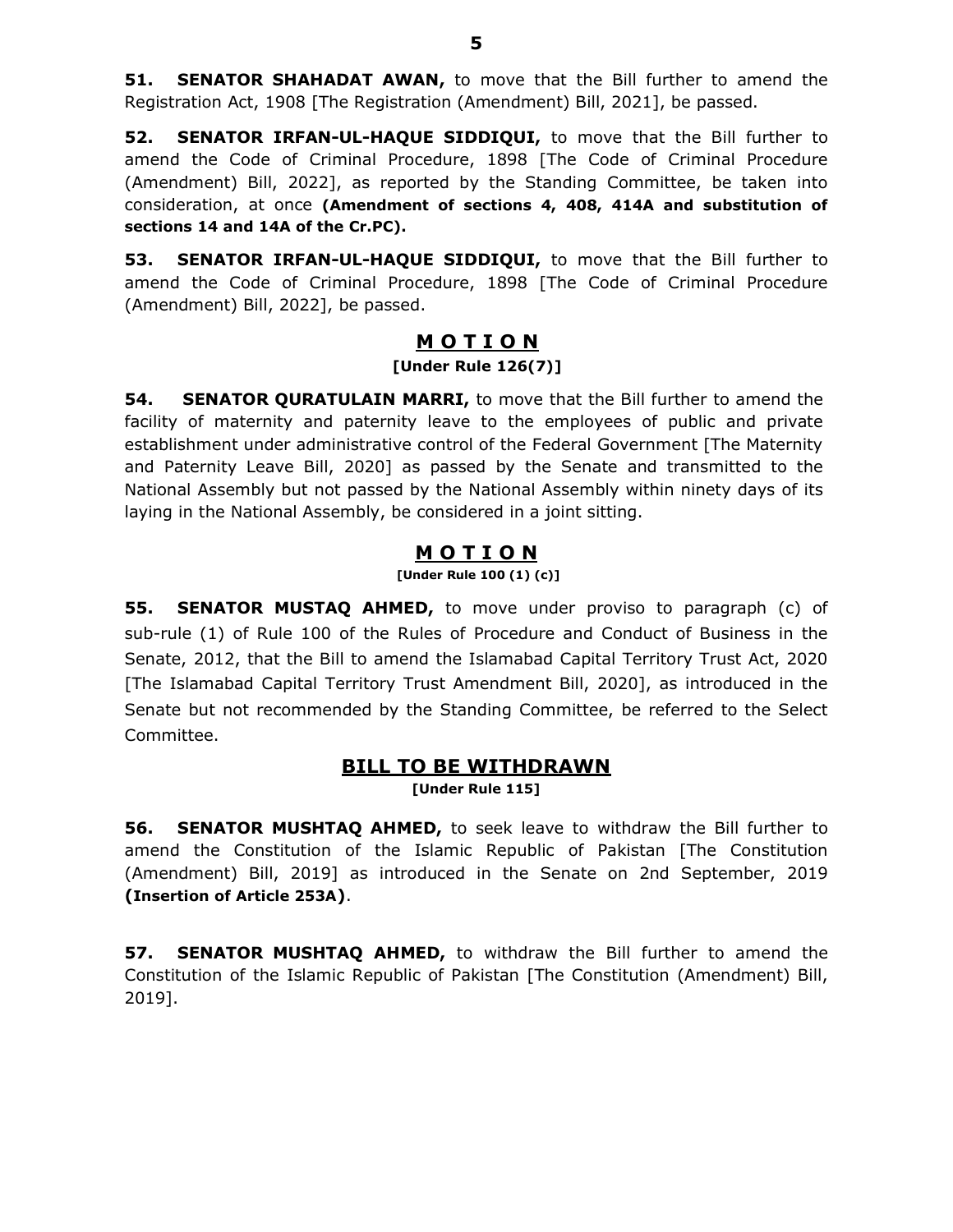**51. SENATOR SHAHADAT AWAN, to move that the Bill further to amend the** Registration Act, 1908 [The Registration (Amendment) Bill, 2021], be passed.

52. SENATOR IRFAN-UL-HAQUE SIDDIQUI, to move that the Bill further to amend the Code of Criminal Procedure, 1898 [The Code of Criminal Procedure (Amendment) Bill, 2022], as reported by the Standing Committee, be taken into consideration, at once (Amendment of sections 4, 408, 414A and substitution of sections 14 and 14A of the Cr.PC).

53. SENATOR IRFAN-UL-HAQUE SIDDIQUI, to move that the Bill further to amend the Code of Criminal Procedure, 1898 [The Code of Criminal Procedure (Amendment) Bill, 2022], be passed.

### MOTION [Under Rule 126(7)]

**54.** SENATOR QURATULAIN MARRI, to move that the Bill further to amend the facility of maternity and paternity leave to the employees of public and private establishment under administrative control of the Federal Government [The Maternity and Paternity Leave Bill, 2020] as passed by the Senate and transmitted to the National Assembly but not passed by the National Assembly within ninety days of its laying in the National Assembly, be considered in a joint sitting.

## M O T I O N

[Under Rule 100 (1) (c)]

**55. SENATOR MUSTAQ AHMED,** to move under proviso to paragraph (c) of sub-rule (1) of Rule 100 of the Rules of Procedure and Conduct of Business in the Senate, 2012, that the Bill to amend the Islamabad Capital Territory Trust Act, 2020 [The Islamabad Capital Territory Trust Amendment Bill, 2020], as introduced in the Senate but not recommended by the Standing Committee, be referred to the Select Committee.

### **BILL TO BE WITHDRAWN**

[Under Rule 115]

**56. SENATOR MUSHTAQ AHMED,** to seek leave to withdraw the Bill further to amend the Constitution of the Islamic Republic of Pakistan [The Constitution (Amendment) Bill, 2019] as introduced in the Senate on 2nd September, 2019 (Insertion of Article 253A).

**57. SENATOR MUSHTAQ AHMED,** to withdraw the Bill further to amend the Constitution of the Islamic Republic of Pakistan [The Constitution (Amendment) Bill, 2019].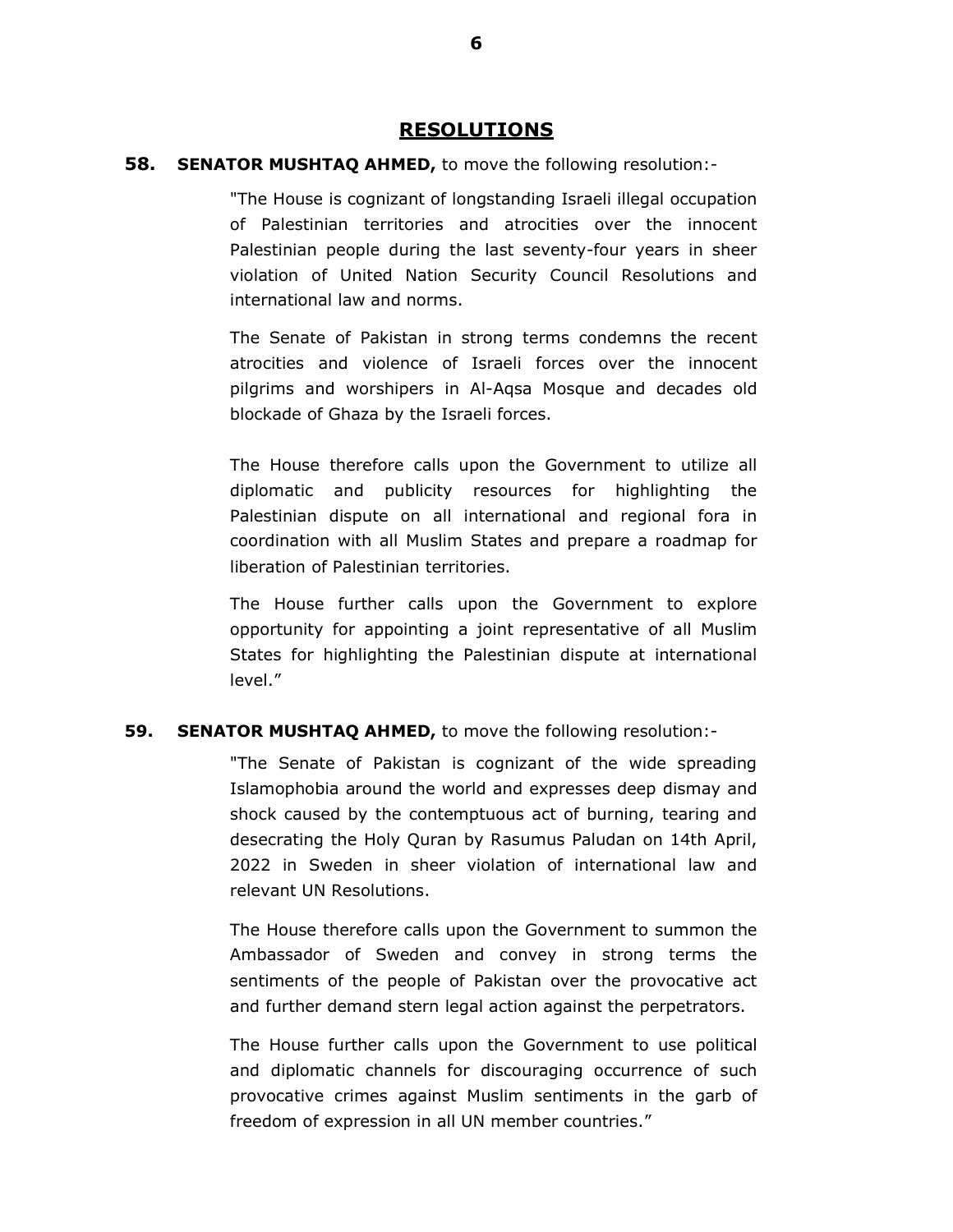#### RESOLUTIONS

#### **58. SENATOR MUSHTAQ AHMED,** to move the following resolution:-

"The House is cognizant of longstanding Israeli illegal occupation of Palestinian territories and atrocities over the innocent Palestinian people during the last seventy-four years in sheer violation of United Nation Security Council Resolutions and international law and norms.

The Senate of Pakistan in strong terms condemns the recent atrocities and violence of Israeli forces over the innocent pilgrims and worshipers in Al-Aqsa Mosque and decades old blockade of Ghaza by the Israeli forces.

The House therefore calls upon the Government to utilize all diplomatic and publicity resources for highlighting the Palestinian dispute on all international and regional fora in coordination with all Muslim States and prepare a roadmap for liberation of Palestinian territories.

The House further calls upon the Government to explore opportunity for appointing a joint representative of all Muslim States for highlighting the Palestinian dispute at international level."

#### **59. SENATOR MUSHTAQ AHMED, to move the following resolution:-**

"The Senate of Pakistan is cognizant of the wide spreading Islamophobia around the world and expresses deep dismay and shock caused by the contemptuous act of burning, tearing and desecrating the Holy Quran by Rasumus Paludan on 14th April, 2022 in Sweden in sheer violation of international law and relevant UN Resolutions.

The House therefore calls upon the Government to summon the Ambassador of Sweden and convey in strong terms the sentiments of the people of Pakistan over the provocative act and further demand stern legal action against the perpetrators.

The House further calls upon the Government to use political and diplomatic channels for discouraging occurrence of such provocative crimes against Muslim sentiments in the garb of freedom of expression in all UN member countries."